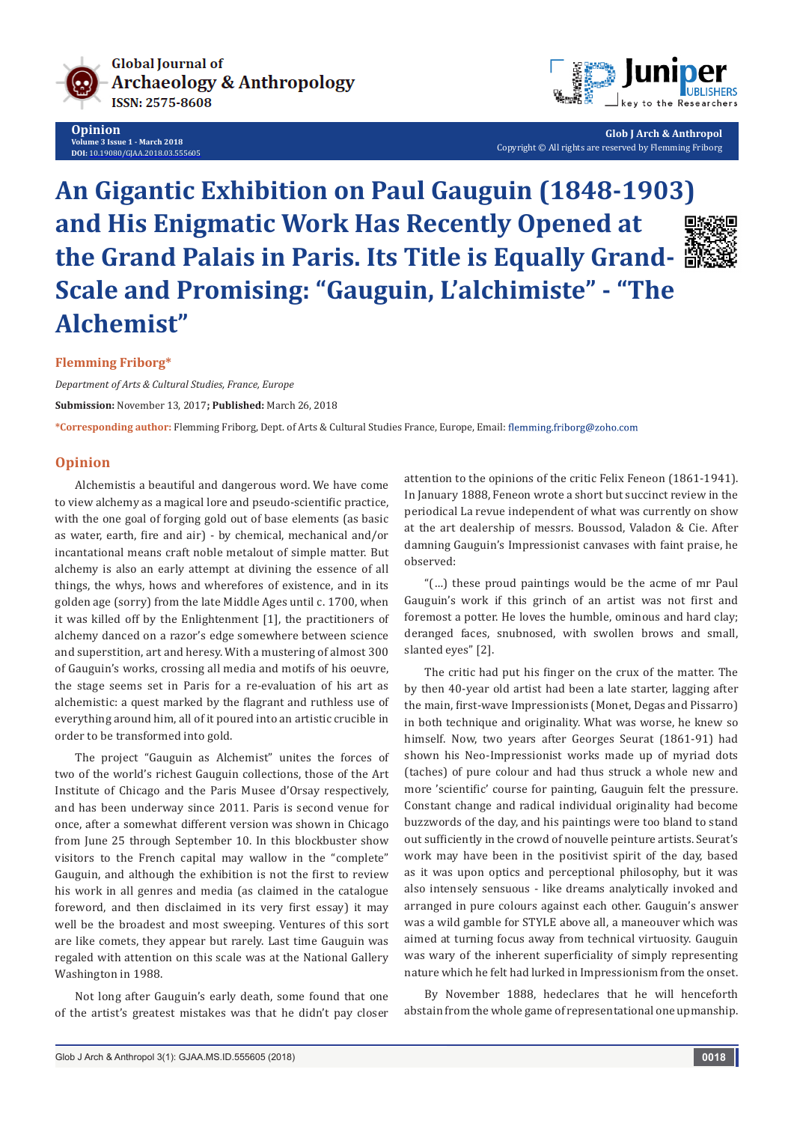

**Opinion Volume 3 Issue 1 - March 2018 DOI:** [10.19080/GJAA.2018.03.555605](http://dx.doi.org/10.19080/GJAA.2018.03.555605)



**Glob J Arch & Anthropol** Copyright © All rights are reserved by Flemming Friborg

# **An Gigantic Exhibition on Paul Gauguin (1848-1903) and His Enigmatic Work Has Recently Opened at the Grand Palais in Paris. Its Title is Equally Grand-Scale and Promising: "Gauguin, L'alchimiste" - "The Alchemist"**



## **Flemming Friborg\***

*Department of Arts & Cultural Studies, France, Europe* **Submission:** November 13, 2017**; Published:** March 26, 2018

**\*Corresponding author:** Flemming Friborg, Dept. of Arts & Cultural Studies France, Europe, Email:

## **Opinion**

Alchemistis a beautiful and dangerous word. We have come to view alchemy as a magical lore and pseudo-scientific practice, with the one goal of forging gold out of base elements (as basic as water, earth, fire and air) - by chemical, mechanical and/or incantational means craft noble metalout of simple matter. But alchemy is also an early attempt at divining the essence of all things, the whys, hows and wherefores of existence, and in its golden age (sorry) from the late Middle Ages until c. 1700, when it was killed off by the Enlightenment [1], the practitioners of alchemy danced on a razor's edge somewhere between science and superstition, art and heresy. With a mustering of almost 300 of Gauguin's works, crossing all media and motifs of his oeuvre, the stage seems set in Paris for a re-evaluation of his art as alchemistic: a quest marked by the flagrant and ruthless use of everything around him, all of it poured into an artistic crucible in order to be transformed into gold.

The project "Gauguin as Alchemist" unites the forces of two of the world's richest Gauguin collections, those of the Art Institute of Chicago and the Paris Musee d'Orsay respectively, and has been underway since 2011. Paris is second venue for once, after a somewhat different version was shown in Chicago from June 25 through September 10. In this blockbuster show visitors to the French capital may wallow in the "complete" Gauguin, and although the exhibition is not the first to review his work in all genres and media (as claimed in the catalogue foreword, and then disclaimed in its very first essay) it may well be the broadest and most sweeping. Ventures of this sort are like comets, they appear but rarely. Last time Gauguin was regaled with attention on this scale was at the National Gallery Washington in 1988.

Not long after Gauguin's early death, some found that one of the artist's greatest mistakes was that he didn't pay closer

attention to the opinions of the critic Felix Feneon (1861-1941). In January 1888, Feneon wrote a short but succinct review in the periodical La revue independent of what was currently on show at the art dealership of messrs. Boussod, Valadon & Cie. After damning Gauguin's Impressionist canvases with faint praise, he observed:

"(…) these proud paintings would be the acme of mr Paul Gauguin's work if this grinch of an artist was not first and foremost a potter. He loves the humble, ominous and hard clay; deranged faces, snubnosed, with swollen brows and small, slanted eyes" [2].

The critic had put his finger on the crux of the matter. The by then 40-year old artist had been a late starter, lagging after the main, first-wave Impressionists (Monet, Degas and Pissarro) in both technique and originality. What was worse, he knew so himself. Now, two years after Georges Seurat (1861-91) had shown his Neo-Impressionist works made up of myriad dots (taches) of pure colour and had thus struck a whole new and more 'scientific' course for painting, Gauguin felt the pressure. Constant change and radical individual originality had become buzzwords of the day, and his paintings were too bland to stand out sufficiently in the crowd of nouvelle peinture artists. Seurat's work may have been in the positivist spirit of the day, based as it was upon optics and perceptional philosophy, but it was also intensely sensuous - like dreams analytically invoked and arranged in pure colours against each other. Gauguin's answer was a wild gamble for STYLE above all, a maneouver which was aimed at turning focus away from technical virtuosity. Gauguin was wary of the inherent superficiality of simply representing nature which he felt had lurked in Impressionism from the onset.

By November 1888, hedeclares that he will henceforth abstain from the whole game of representational one upmanship.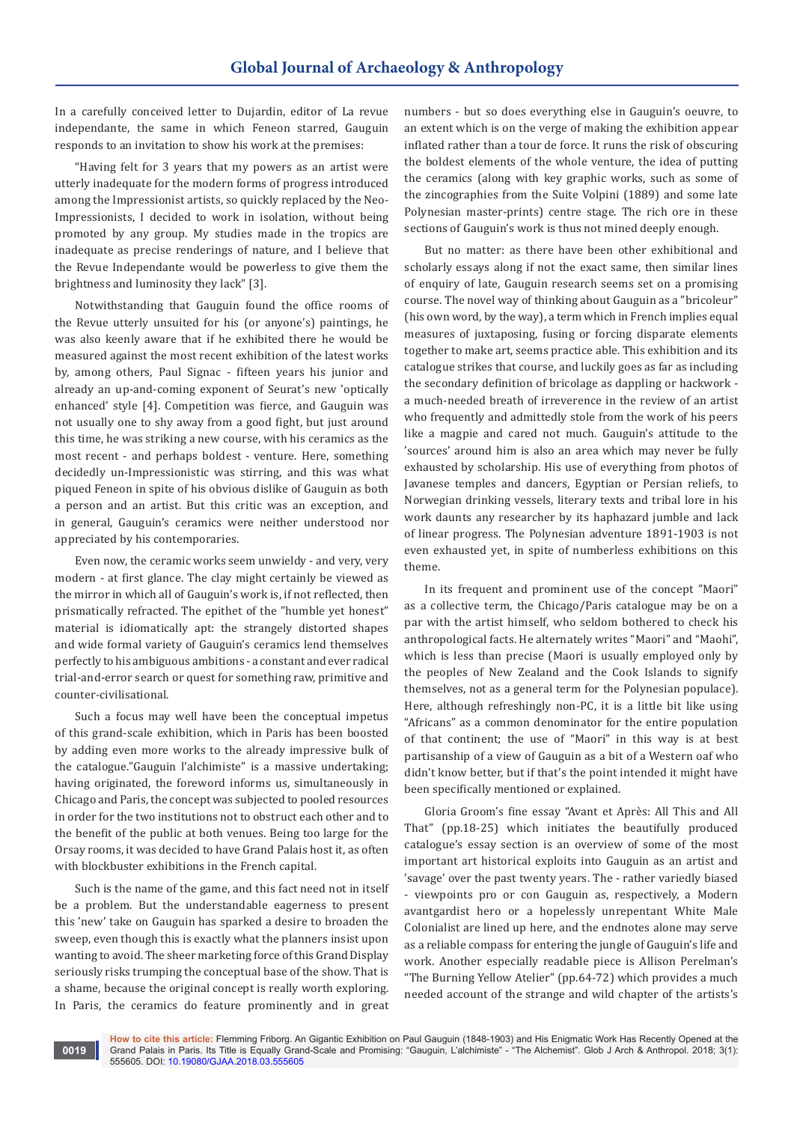In a carefully conceived letter to Dujardin, editor of La revue independante, the same in which Feneon starred, Gauguin responds to an invitation to show his work at the premises:

"Having felt for 3 years that my powers as an artist were utterly inadequate for the modern forms of progress introduced among the Impressionist artists, so quickly replaced by the Neo-Impressionists, I decided to work in isolation, without being promoted by any group. My studies made in the tropics are inadequate as precise renderings of nature, and I believe that the Revue Independante would be powerless to give them the brightness and luminosity they lack" [3].

Notwithstanding that Gauguin found the office rooms of the Revue utterly unsuited for his (or anyone's) paintings, he was also keenly aware that if he exhibited there he would be measured against the most recent exhibition of the latest works by, among others, Paul Signac - fifteen years his junior and already an up-and-coming exponent of Seurat's new 'optically enhanced' style [4]. Competition was fierce, and Gauguin was not usually one to shy away from a good fight, but just around this time, he was striking a new course, with his ceramics as the most recent - and perhaps boldest - venture. Here, something decidedly un-Impressionistic was stirring, and this was what piqued Feneon in spite of his obvious dislike of Gauguin as both a person and an artist. But this critic was an exception, and in general, Gauguin's ceramics were neither understood nor appreciated by his contemporaries.

Even now, the ceramic works seem unwieldy - and very, very modern - at first glance. The clay might certainly be viewed as the mirror in which all of Gauguin's work is, if not reflected, then prismatically refracted. The epithet of the "humble yet honest" material is idiomatically apt: the strangely distorted shapes and wide formal variety of Gauguin's ceramics lend themselves perfectly to his ambiguous ambitions - a constant and ever radical trial-and-error search or quest for something raw, primitive and counter-civilisational.

Such a focus may well have been the conceptual impetus of this grand-scale exhibition, which in Paris has been boosted by adding even more works to the already impressive bulk of the catalogue."Gauguin l'alchimiste" is a massive undertaking; having originated, the foreword informs us, simultaneously in Chicago and Paris, the concept was subjected to pooled resources in order for the two institutions not to obstruct each other and to the benefit of the public at both venues. Being too large for the Orsay rooms, it was decided to have Grand Palais host it, as often with blockbuster exhibitions in the French capital.

Such is the name of the game, and this fact need not in itself be a problem. But the understandable eagerness to present this 'new' take on Gauguin has sparked a desire to broaden the sweep, even though this is exactly what the planners insist upon wanting to avoid. The sheer marketing force of this Grand Display seriously risks trumping the conceptual base of the show. That is a shame, because the original concept is really worth exploring. In Paris, the ceramics do feature prominently and in great

**0019**

numbers - but so does everything else in Gauguin's oeuvre, to an extent which is on the verge of making the exhibition appear inflated rather than a tour de force. It runs the risk of obscuring the boldest elements of the whole venture, the idea of putting the ceramics (along with key graphic works, such as some of the zincographies from the Suite Volpini (1889) and some late Polynesian master-prints) centre stage. The rich ore in these sections of Gauguin's work is thus not mined deeply enough.

But no matter: as there have been other exhibitional and scholarly essays along if not the exact same, then similar lines of enquiry of late, Gauguin research seems set on a promising course. The novel way of thinking about Gauguin as a "bricoleur" (his own word, by the way), a term which in French implies equal measures of juxtaposing, fusing or forcing disparate elements together to make art, seems practice able. This exhibition and its catalogue strikes that course, and luckily goes as far as including the secondary definition of bricolage as dappling or hackwork a much-needed breath of irreverence in the review of an artist who frequently and admittedly stole from the work of his peers like a magpie and cared not much. Gauguin's attitude to the 'sources' around him is also an area which may never be fully exhausted by scholarship. His use of everything from photos of Javanese temples and dancers, Egyptian or Persian reliefs, to Norwegian drinking vessels, literary texts and tribal lore in his work daunts any researcher by its haphazard jumble and lack of linear progress. The Polynesian adventure 1891-1903 is not even exhausted yet, in spite of numberless exhibitions on this theme.

In its frequent and prominent use of the concept "Maori" as a collective term, the Chicago/Paris catalogue may be on a par with the artist himself, who seldom bothered to check his anthropological facts. He alternately writes "Maori" and "Maohi", which is less than precise (Maori is usually employed only by the peoples of New Zealand and the Cook Islands to signify themselves, not as a general term for the Polynesian populace). Here, although refreshingly non-PC, it is a little bit like using "Africans" as a common denominator for the entire population of that continent; the use of "Maori" in this way is at best partisanship of a view of Gauguin as a bit of a Western oaf who didn't know better, but if that's the point intended it might have been specifically mentioned or explained.

Gloria Groom's fine essay "Avant et Après: All This and All That" (pp.18-25) which initiates the beautifully produced catalogue's essay section is an overview of some of the most important art historical exploits into Gauguin as an artist and 'savage' over the past twenty years. The - rather variedly biased - viewpoints pro or con Gauguin as, respectively, a Modern avantgardist hero or a hopelessly unrepentant White Male Colonialist are lined up here, and the endnotes alone may serve as a reliable compass for entering the jungle of Gauguin's life and work. Another especially readable piece is Allison Perelman's "The Burning Yellow Atelier" (pp.64-72) which provides a much needed account of the strange and wild chapter of the artists's